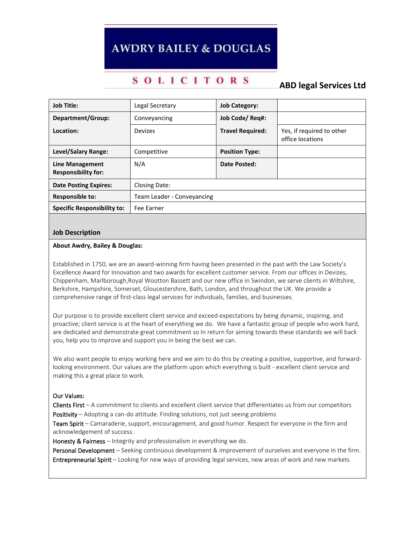# **AWDRY BAILEY & DOUGLAS**

## **SOLICITORS**

**ABD legal Services Ltd**

| <b>Job Title:</b>                                    | Legal Secretary            | <b>Job Category:</b>    |                                               |
|------------------------------------------------------|----------------------------|-------------------------|-----------------------------------------------|
| Department/Group:                                    | Conveyancing               | Job Code/ Rea#:         |                                               |
| Location:                                            | Devizes                    | <b>Travel Required:</b> | Yes, if required to other<br>office locations |
| Level/Salary Range:                                  | Competitive                | <b>Position Type:</b>   |                                               |
| <b>Line Management</b><br><b>Responsibility for:</b> | N/A                        | Date Posted:            |                                               |
| <b>Date Posting Expires:</b>                         | Closing Date:              |                         |                                               |
| <b>Responsible to:</b>                               | Team Leader - Conveyancing |                         |                                               |
| <b>Specific Responsibility to:</b>                   | Fee Earner                 |                         |                                               |

## **Job Description**

#### **About Awdry, Bailey & Douglas:**

Established in 1750, we are an award-winning firm having been presented in the past with the Law Society's Excellence Award for Innovation and two awards for excellent customer service. From our offices in Devizes, Chippenham, Marlborough,Royal Wootton Bassett and our new office in Swindon, we serve clients in Wiltshire, Berkshire, Hampshire, Somerset, Gloucestershire, Bath, London, and throughout the UK. We provide a comprehensive range of first-class legal services for individuals, families, and businesses.

Our purpose is to provide excellent client service and exceed expectations by being dynamic, inspiring, and proactive; client service is at the heart of everything we do. We have a fantastic group of people who work hard, are dedicated and demonstrate great commitment so In return for aiming towards these standards we will back you, help you to improve and support you in being the best we can.

We also want people to enjoy working here and we aim to do this by creating a positive, supportive, and forwardlooking environment. Our values are the platform upon which everything is built - excellent client service and making this a great place to work.

### Our Values:

Clients First – A commitment to clients and excellent client service that differentiates us from our competitors Positivity – Adopting a can-do attitude. Finding solutions, not just seeing problems

Team Spirit – Camaraderie, support, encouragement, and good humor. Respect for everyone in the firm and acknowledgement of success.

Honesty & Fairness - Integrity and professionalism in everything we do.

Personal Development – Seeking continuous development & improvement of ourselves and everyone in the firm. Entrepreneurial Spirit – Looking for new ways of providing legal services, new areas of work and new markets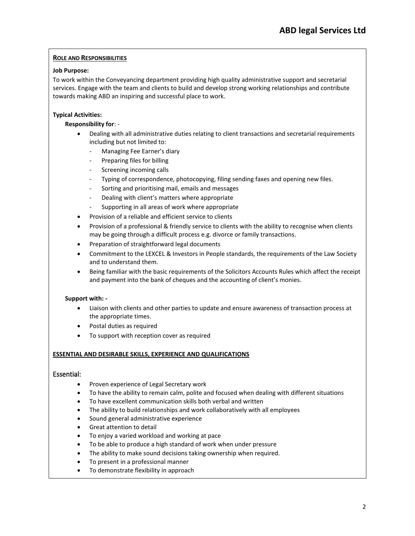## **ROLE AND RESPONSIBILITIES**

## **Job Purpose:**

To work within the Conveyancing department providing high quality administrative support and secretarial services. Engage with the team and clients to build and develop strong working relationships and contribute towards making ABD an inspiring and successful place to work.

## **Typical Activities:**

## **Responsibility for**: -

- Dealing with all administrative duties relating to client transactions and secretarial requirements including but not limited to:
	- Managing Fee Earner's diary
	- Preparing files for billing
	- Screening incoming calls
	- Typing of correspondence, photocopying, filing sending faxes and opening new files.
	- Sorting and prioritising mail, emails and messages
	- Dealing with client's matters where appropriate
	- Supporting in all areas of work where appropriate
- Provision of a reliable and efficient service to clients
- Provision of a professional & friendly service to clients with the ability to recognise when clients may be going through a difficult process e.g. divorce or family transactions.
- Preparation of straightforward legal documents
- Commitment to the LEXCEL & Investors in People standards, the requirements of the Law Society and to understand them.
- Being familiar with the basic requirements of the Solicitors Accounts Rules which affect the receipt and payment into the bank of cheques and the accounting of client's monies.

### **Support with: -**

- Liaison with clients and other parties to update and ensure awareness of transaction process at the appropriate times.
- Postal duties as required
- To support with reception cover as required

### **ESSENTIAL AND DESIRABLE SKILLS, EXPERIENCE AND QUALIFICATIONS**

### Essential:

- Proven experience of Legal Secretary work
- To have the ability to remain calm, polite and focused when dealing with different situations
- To have excellent communication skills both verbal and written
- The ability to build relationships and work collaboratively with all employees
- Sound general administrative experience
- Great attention to detail
- To enjoy a varied workload and working at pace
- To be able to produce a high standard of work when under pressure
- The ability to make sound decisions taking ownership when required.
- To present in a professional manner
- To demonstrate flexibility in approach